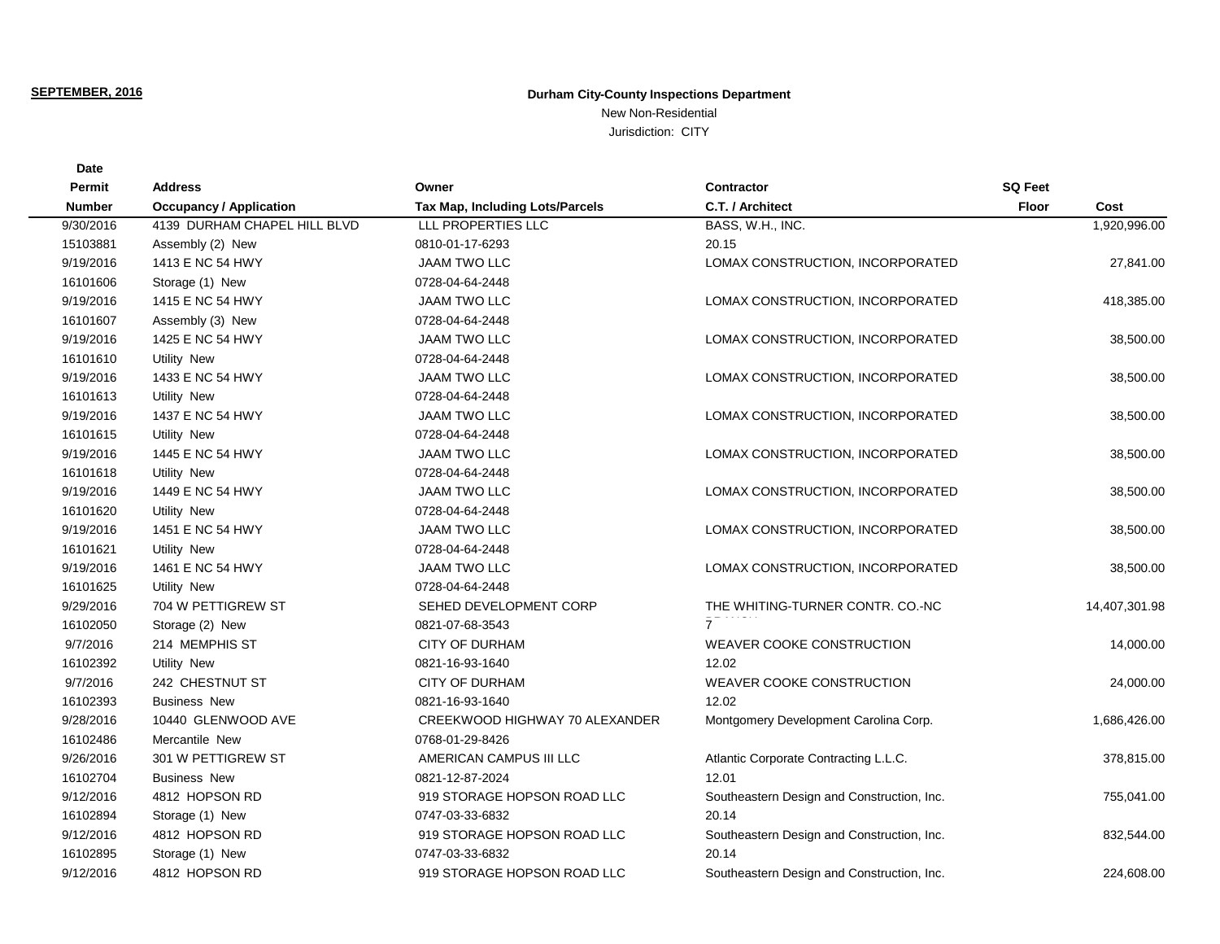## **SEPTEMBER, 2016**

**Date**

## **Durham City-County Inspections Department**

New Non-Residential Jurisdiction: CITY

| Permit        | <b>Address</b>                 | Owner                                  | <b>Contractor</b>                          | <b>SQ Feet</b>       |
|---------------|--------------------------------|----------------------------------------|--------------------------------------------|----------------------|
| <b>Number</b> | <b>Occupancy / Application</b> | <b>Tax Map, Including Lots/Parcels</b> | C.T. / Architect                           | <b>Floor</b><br>Cost |
| 9/30/2016     | 4139 DURHAM CHAPEL HILL BLVD   | LLL PROPERTIES LLC                     | BASS, W.H., INC.                           | 1,920,996.00         |
| 15103881      | Assembly (2) New               | 0810-01-17-6293                        | 20.15                                      |                      |
| 9/19/2016     | 1413 E NC 54 HWY               | <b>JAAM TWO LLC</b>                    | LOMAX CONSTRUCTION, INCORPORATED           | 27,841.00            |
| 16101606      | Storage (1) New                | 0728-04-64-2448                        |                                            |                      |
| 9/19/2016     | 1415 E NC 54 HWY               | <b>JAAM TWO LLC</b>                    | LOMAX CONSTRUCTION, INCORPORATED           | 418,385.00           |
| 16101607      | Assembly (3) New               | 0728-04-64-2448                        |                                            |                      |
| 9/19/2016     | 1425 E NC 54 HWY               | <b>JAAM TWO LLC</b>                    | LOMAX CONSTRUCTION, INCORPORATED           | 38,500.00            |
| 16101610      | <b>Utility New</b>             | 0728-04-64-2448                        |                                            |                      |
| 9/19/2016     | 1433 E NC 54 HWY               | <b>JAAM TWO LLC</b>                    | LOMAX CONSTRUCTION, INCORPORATED           | 38,500.00            |
| 16101613      | <b>Utility New</b>             | 0728-04-64-2448                        |                                            |                      |
| 9/19/2016     | 1437 E NC 54 HWY               | <b>JAAM TWO LLC</b>                    | LOMAX CONSTRUCTION, INCORPORATED           | 38,500.00            |
| 16101615      | <b>Utility New</b>             | 0728-04-64-2448                        |                                            |                      |
| 9/19/2016     | 1445 E NC 54 HWY               | <b>JAAM TWO LLC</b>                    | LOMAX CONSTRUCTION, INCORPORATED           | 38,500.00            |
| 16101618      | <b>Utility New</b>             | 0728-04-64-2448                        |                                            |                      |
| 9/19/2016     | 1449 E NC 54 HWY               | <b>JAAM TWO LLC</b>                    | LOMAX CONSTRUCTION, INCORPORATED           | 38,500.00            |
| 16101620      | <b>Utility New</b>             | 0728-04-64-2448                        |                                            |                      |
| 9/19/2016     | 1451 E NC 54 HWY               | <b>JAAM TWO LLC</b>                    | LOMAX CONSTRUCTION, INCORPORATED           | 38,500.00            |
| 16101621      | <b>Utility New</b>             | 0728-04-64-2448                        |                                            |                      |
| 9/19/2016     | 1461 E NC 54 HWY               | <b>JAAM TWO LLC</b>                    | LOMAX CONSTRUCTION, INCORPORATED           | 38,500.00            |
| 16101625      | <b>Utility New</b>             | 0728-04-64-2448                        |                                            |                      |
| 9/29/2016     | 704 W PETTIGREW ST             | SEHED DEVELOPMENT CORP                 | THE WHITING-TURNER CONTR. CO.-NC           | 14,407,301.98        |
| 16102050      | Storage (2) New                | 0821-07-68-3543                        |                                            |                      |
| 9/7/2016      | 214 MEMPHIS ST                 | <b>CITY OF DURHAM</b>                  | <b>WEAVER COOKE CONSTRUCTION</b>           | 14,000.00            |
| 16102392      | <b>Utility New</b>             | 0821-16-93-1640                        | 12.02                                      |                      |
| 9/7/2016      | 242 CHESTNUT ST                | <b>CITY OF DURHAM</b>                  | <b>WEAVER COOKE CONSTRUCTION</b>           | 24,000.00            |
| 16102393      | <b>Business New</b>            | 0821-16-93-1640                        | 12.02                                      |                      |
| 9/28/2016     | 10440 GLENWOOD AVE             | CREEKWOOD HIGHWAY 70 ALEXANDER         | Montgomery Development Carolina Corp.      | 1,686,426.00         |
| 16102486      | Mercantile New                 | 0768-01-29-8426                        |                                            |                      |
| 9/26/2016     | 301 W PETTIGREW ST             | AMERICAN CAMPUS III LLC                | Atlantic Corporate Contracting L.L.C.      | 378,815.00           |
| 16102704      | <b>Business New</b>            | 0821-12-87-2024                        | 12.01                                      |                      |
| 9/12/2016     | 4812 HOPSON RD                 | 919 STORAGE HOPSON ROAD LLC            | Southeastern Design and Construction, Inc. | 755,041.00           |
| 16102894      | Storage (1) New                | 0747-03-33-6832                        | 20.14                                      |                      |
| 9/12/2016     | 4812 HOPSON RD                 | 919 STORAGE HOPSON ROAD LLC            | Southeastern Design and Construction, Inc. | 832,544.00           |
| 16102895      | Storage (1) New                | 0747-03-33-6832                        | 20.14                                      |                      |
| 9/12/2016     | 4812 HOPSON RD                 | 919 STORAGE HOPSON ROAD LLC            | Southeastern Design and Construction, Inc. | 224.608.00           |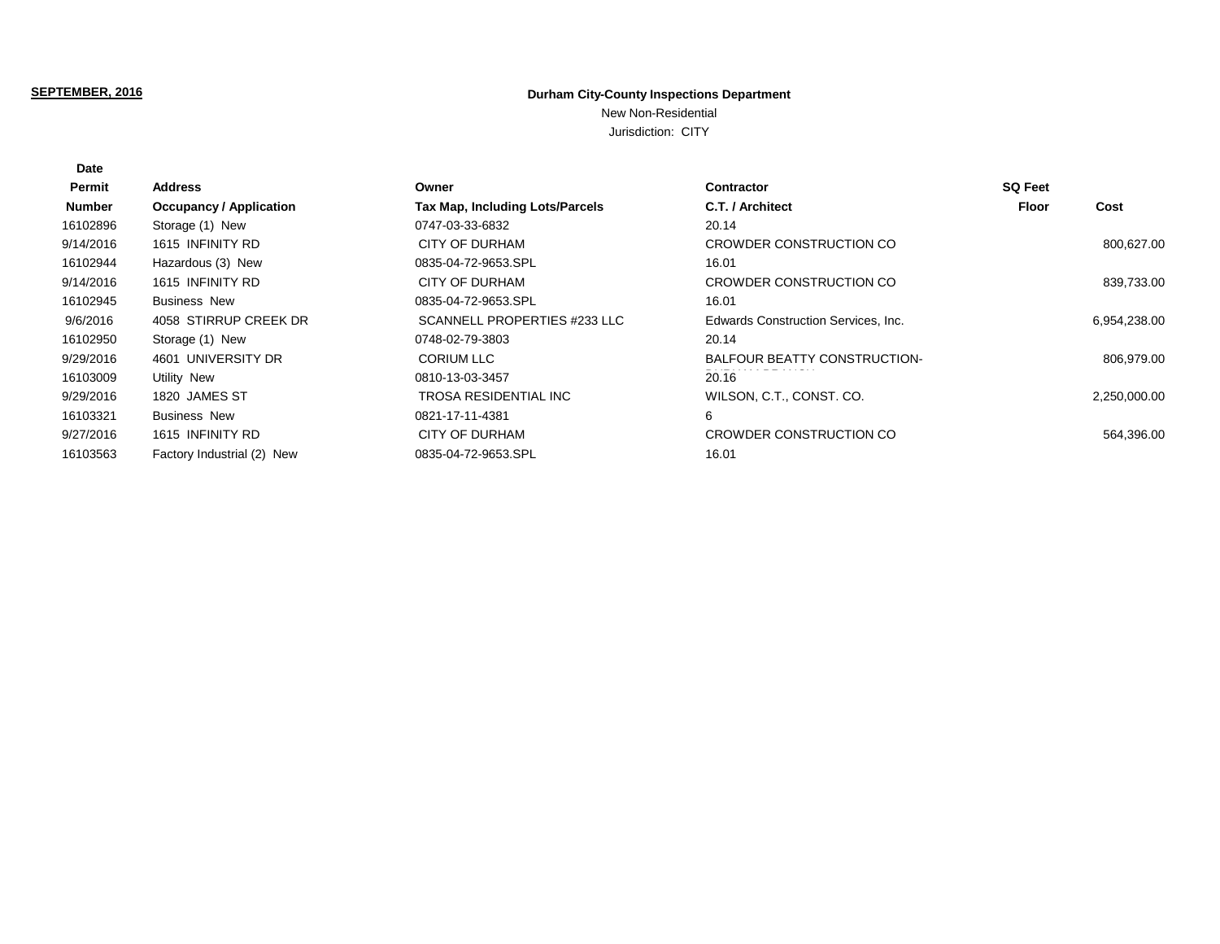## **SEPTEMBER, 2016**

**Date**

## **Durham City-County Inspections Department**

New Non-Residential

Jurisdiction: CITY

| Permit        | Address                        | Owner                                  | <b>Contractor</b>                   | <b>SQ Feet</b> |              |
|---------------|--------------------------------|----------------------------------------|-------------------------------------|----------------|--------------|
| <b>Number</b> | <b>Occupancy / Application</b> | <b>Tax Map, Including Lots/Parcels</b> | C.T. / Architect                    | Floor          | Cost         |
| 16102896      | Storage (1) New                | 0747-03-33-6832                        | 20.14                               |                |              |
| 9/14/2016     | 1615 INFINITY RD               | CITY OF DURHAM                         | CROWDER CONSTRUCTION CO             |                | 800,627.00   |
| 16102944      | Hazardous (3) New              | 0835-04-72-9653.SPL                    | 16.01                               |                |              |
| 9/14/2016     | 1615 INFINITY RD               | CITY OF DURHAM                         | CROWDER CONSTRUCTION CO             |                | 839,733.00   |
| 16102945      | <b>Business New</b>            | 0835-04-72-9653.SPL                    | 16.01                               |                |              |
| 9/6/2016      | 4058 STIRRUP CREEK DR          | SCANNELL PROPERTIES #233 LLC           | Edwards Construction Services, Inc. |                | 6,954,238.00 |
| 16102950      | Storage (1) New                | 0748-02-79-3803                        | 20.14                               |                |              |
| 9/29/2016     | 4601 UNIVERSITY DR             | <b>CORIUM LLC</b>                      | BALFOUR BEATTY CONSTRUCTION-        |                | 806,979.00   |
| 16103009      | Utility New                    | 0810-13-03-3457                        | 20.16                               |                |              |
| 9/29/2016     | 1820 JAMES ST                  | TROSA RESIDENTIAL INC                  | WILSON, C.T., CONST. CO.            |                | 2,250,000.00 |
| 16103321      | <b>Business New</b>            | 0821-17-11-4381                        | 6                                   |                |              |
| 9/27/2016     | 1615 INFINITY RD               | <b>CITY OF DURHAM</b>                  | CROWDER CONSTRUCTION CO             |                | 564,396.00   |
| 16103563      | Factory Industrial (2) New     | 0835-04-72-9653.SPL                    | 16.01                               |                |              |